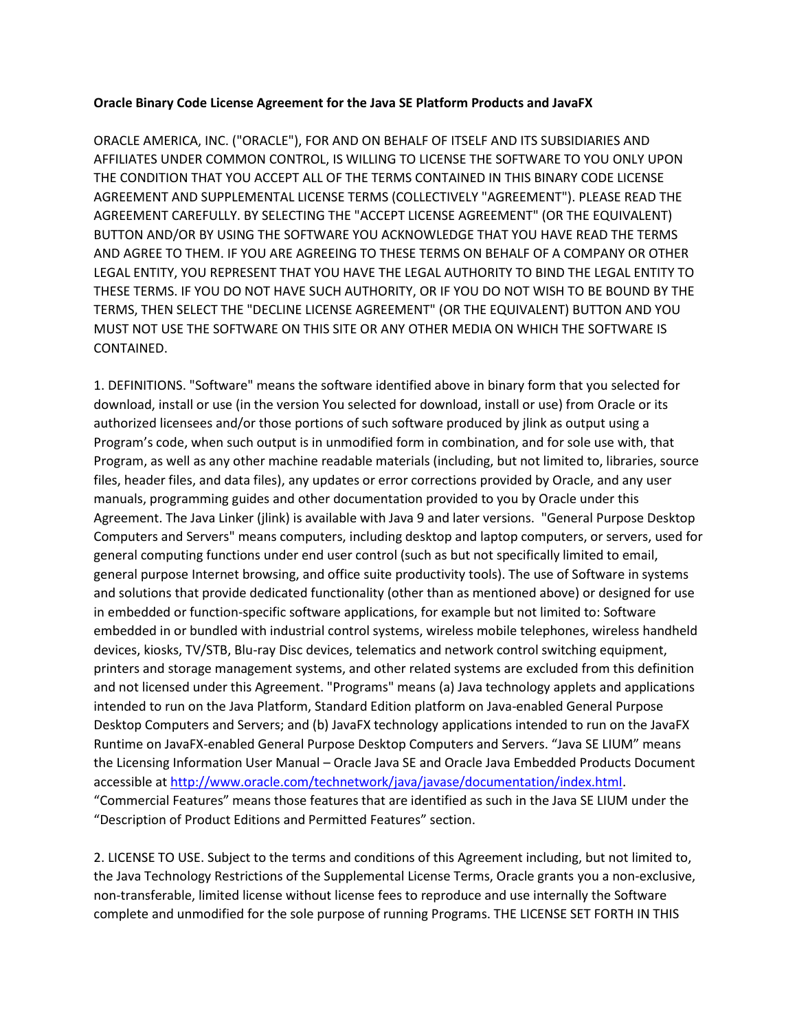## **Oracle Binary Code License Agreement for the Java SE Platform Products and JavaFX**

ORACLE AMERICA, INC. ("ORACLE"), FOR AND ON BEHALF OF ITSELF AND ITS SUBSIDIARIES AND AFFILIATES UNDER COMMON CONTROL, IS WILLING TO LICENSE THE SOFTWARE TO YOU ONLY UPON THE CONDITION THAT YOU ACCEPT ALL OF THE TERMS CONTAINED IN THIS BINARY CODE LICENSE AGREEMENT AND SUPPLEMENTAL LICENSE TERMS (COLLECTIVELY "AGREEMENT"). PLEASE READ THE AGREEMENT CAREFULLY. BY SELECTING THE "ACCEPT LICENSE AGREEMENT" (OR THE EQUIVALENT) BUTTON AND/OR BY USING THE SOFTWARE YOU ACKNOWLEDGE THAT YOU HAVE READ THE TERMS AND AGREE TO THEM. IF YOU ARE AGREEING TO THESE TERMS ON BEHALF OF A COMPANY OR OTHER LEGAL ENTITY, YOU REPRESENT THAT YOU HAVE THE LEGAL AUTHORITY TO BIND THE LEGAL ENTITY TO THESE TERMS. IF YOU DO NOT HAVE SUCH AUTHORITY, OR IF YOU DO NOT WISH TO BE BOUND BY THE TERMS, THEN SELECT THE "DECLINE LICENSE AGREEMENT" (OR THE EQUIVALENT) BUTTON AND YOU MUST NOT USE THE SOFTWARE ON THIS SITE OR ANY OTHER MEDIA ON WHICH THE SOFTWARE IS CONTAINED.

1. DEFINITIONS. "Software" means the software identified above in binary form that you selected for download, install or use (in the version You selected for download, install or use) from Oracle or its authorized licensees and/or those portions of such software produced by jlink as output using a Program's code, when such output is in unmodified form in combination, and for sole use with, that Program, as well as any other machine readable materials (including, but not limited to, libraries, source files, header files, and data files), any updates or error corrections provided by Oracle, and any user manuals, programming guides and other documentation provided to you by Oracle under this Agreement. The Java Linker (jlink) is available with Java 9 and later versions. "General Purpose Desktop Computers and Servers" means computers, including desktop and laptop computers, or servers, used for general computing functions under end user control (such as but not specifically limited to email, general purpose Internet browsing, and office suite productivity tools). The use of Software in systems and solutions that provide dedicated functionality (other than as mentioned above) or designed for use in embedded or function-specific software applications, for example but not limited to: Software embedded in or bundled with industrial control systems, wireless mobile telephones, wireless handheld devices, kiosks, TV/STB, Blu-ray Disc devices, telematics and network control switching equipment, printers and storage management systems, and other related systems are excluded from this definition and not licensed under this Agreement. "Programs" means (a) Java technology applets and applications intended to run on the Java Platform, Standard Edition platform on Java-enabled General Purpose Desktop Computers and Servers; and (b) JavaFX technology applications intended to run on the JavaFX Runtime on JavaFX-enabled General Purpose Desktop Computers and Servers. "Java SE LIUM" means the Licensing Information User Manual – Oracle Java SE and Oracle Java Embedded Products Document accessible at [http://www.oracle.com/technetwork/java/javase/documentation/index.html.](http://www.oracle.com/technetwork/java/javase/documentation/index.html) "Commercial Features" means those features that are identified as such in the Java SE LIUM under the "Description of Product Editions and Permitted Features" section.

2. LICENSE TO USE. Subject to the terms and conditions of this Agreement including, but not limited to, the Java Technology Restrictions of the Supplemental License Terms, Oracle grants you a non-exclusive, non-transferable, limited license without license fees to reproduce and use internally the Software complete and unmodified for the sole purpose of running Programs. THE LICENSE SET FORTH IN THIS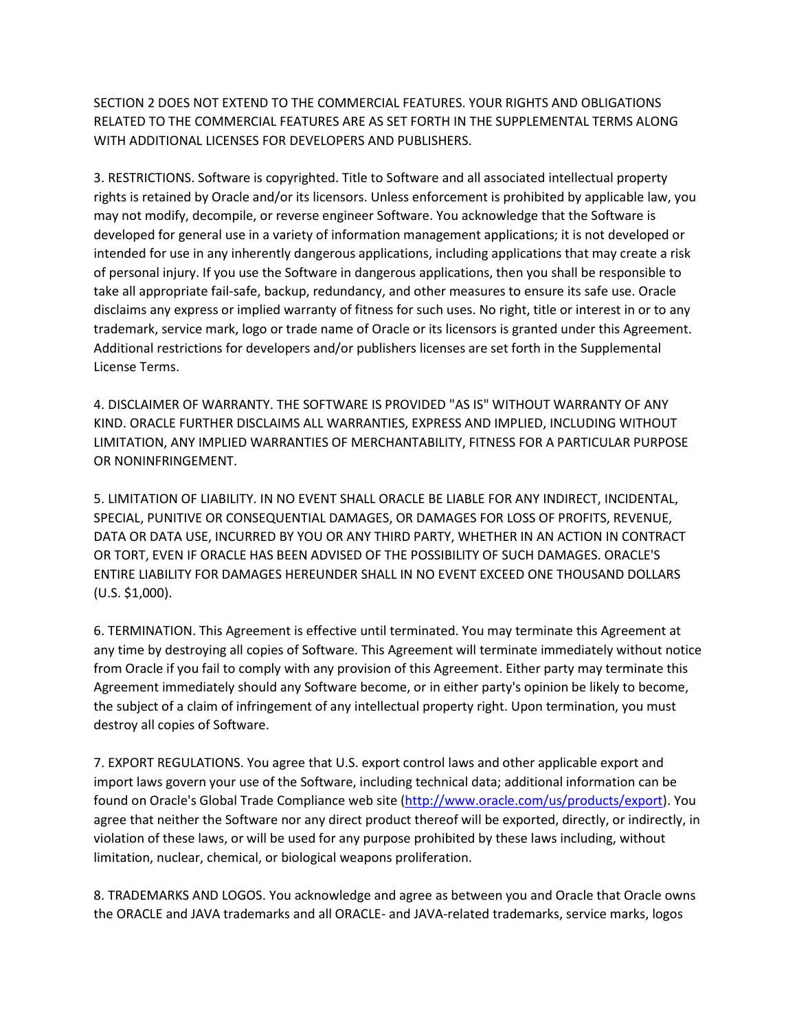SECTION 2 DOES NOT EXTEND TO THE COMMERCIAL FEATURES. YOUR RIGHTS AND OBLIGATIONS RELATED TO THE COMMERCIAL FEATURES ARE AS SET FORTH IN THE SUPPLEMENTAL TERMS ALONG WITH ADDITIONAL LICENSES FOR DEVELOPERS AND PUBLISHERS.

3. RESTRICTIONS. Software is copyrighted. Title to Software and all associated intellectual property rights is retained by Oracle and/or its licensors. Unless enforcement is prohibited by applicable law, you may not modify, decompile, or reverse engineer Software. You acknowledge that the Software is developed for general use in a variety of information management applications; it is not developed or intended for use in any inherently dangerous applications, including applications that may create a risk of personal injury. If you use the Software in dangerous applications, then you shall be responsible to take all appropriate fail-safe, backup, redundancy, and other measures to ensure its safe use. Oracle disclaims any express or implied warranty of fitness for such uses. No right, title or interest in or to any trademark, service mark, logo or trade name of Oracle or its licensors is granted under this Agreement. Additional restrictions for developers and/or publishers licenses are set forth in the Supplemental License Terms.

4. DISCLAIMER OF WARRANTY. THE SOFTWARE IS PROVIDED "AS IS" WITHOUT WARRANTY OF ANY KIND. ORACLE FURTHER DISCLAIMS ALL WARRANTIES, EXPRESS AND IMPLIED, INCLUDING WITHOUT LIMITATION, ANY IMPLIED WARRANTIES OF MERCHANTABILITY, FITNESS FOR A PARTICULAR PURPOSE OR NONINFRINGEMENT.

5. LIMITATION OF LIABILITY. IN NO EVENT SHALL ORACLE BE LIABLE FOR ANY INDIRECT, INCIDENTAL, SPECIAL, PUNITIVE OR CONSEQUENTIAL DAMAGES, OR DAMAGES FOR LOSS OF PROFITS, REVENUE, DATA OR DATA USE, INCURRED BY YOU OR ANY THIRD PARTY, WHETHER IN AN ACTION IN CONTRACT OR TORT, EVEN IF ORACLE HAS BEEN ADVISED OF THE POSSIBILITY OF SUCH DAMAGES. ORACLE'S ENTIRE LIABILITY FOR DAMAGES HEREUNDER SHALL IN NO EVENT EXCEED ONE THOUSAND DOLLARS (U.S. \$1,000).

6. TERMINATION. This Agreement is effective until terminated. You may terminate this Agreement at any time by destroying all copies of Software. This Agreement will terminate immediately without notice from Oracle if you fail to comply with any provision of this Agreement. Either party may terminate this Agreement immediately should any Software become, or in either party's opinion be likely to become, the subject of a claim of infringement of any intellectual property right. Upon termination, you must destroy all copies of Software.

7. EXPORT REGULATIONS. You agree that U.S. export control laws and other applicable export and import laws govern your use of the Software, including technical data; additional information can be found on Oracle's Global Trade Compliance web site [\(http://www.oracle.com/us/products/export\)](http://www.oracle.com/us/products/export). You agree that neither the Software nor any direct product thereof will be exported, directly, or indirectly, in violation of these laws, or will be used for any purpose prohibited by these laws including, without limitation, nuclear, chemical, or biological weapons proliferation.

8. TRADEMARKS AND LOGOS. You acknowledge and agree as between you and Oracle that Oracle owns the ORACLE and JAVA trademarks and all ORACLE- and JAVA-related trademarks, service marks, logos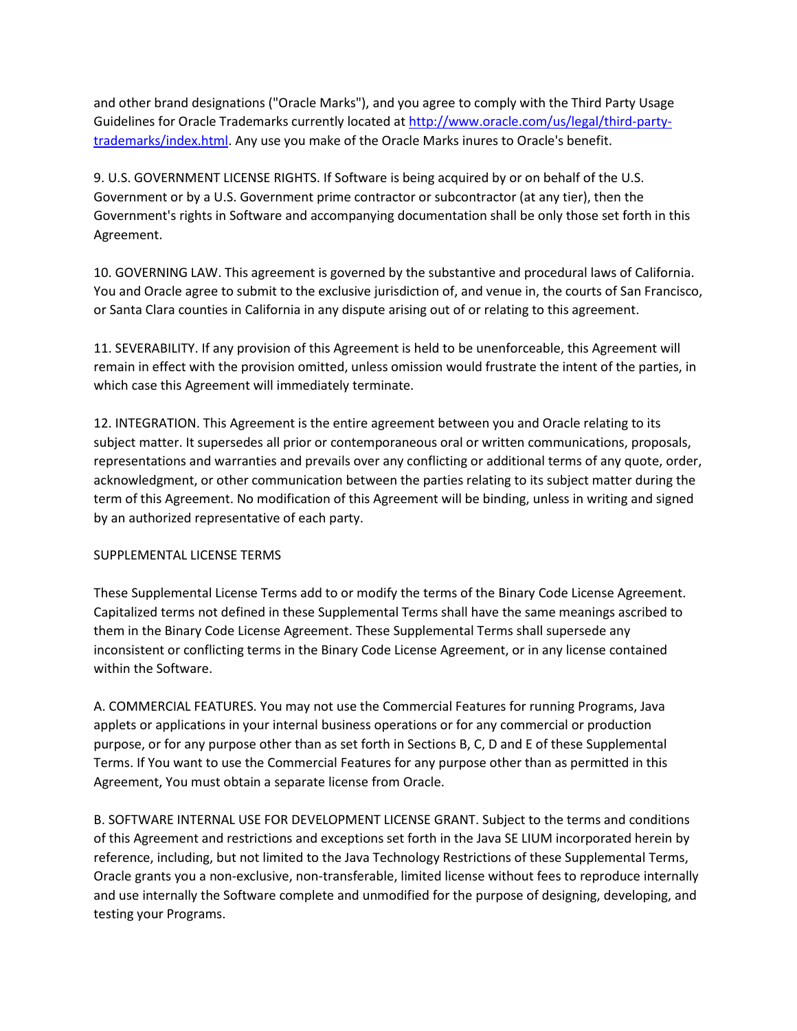and other brand designations ("Oracle Marks"), and you agree to comply with the Third Party Usage Guidelines for Oracle Trademarks currently located at [http://www.oracle.com/us/legal/third-party](http://www.oracle.com/us/legal/third-party-trademarks/index.html)[trademarks/index.html.](http://www.oracle.com/us/legal/third-party-trademarks/index.html) Any use you make of the Oracle Marks inures to Oracle's benefit.

9. U.S. GOVERNMENT LICENSE RIGHTS. If Software is being acquired by or on behalf of the U.S. Government or by a U.S. Government prime contractor or subcontractor (at any tier), then the Government's rights in Software and accompanying documentation shall be only those set forth in this Agreement.

10. GOVERNING LAW. This agreement is governed by the substantive and procedural laws of California. You and Oracle agree to submit to the exclusive jurisdiction of, and venue in, the courts of San Francisco, or Santa Clara counties in California in any dispute arising out of or relating to this agreement.

11. SEVERABILITY. If any provision of this Agreement is held to be unenforceable, this Agreement will remain in effect with the provision omitted, unless omission would frustrate the intent of the parties, in which case this Agreement will immediately terminate.

12. INTEGRATION. This Agreement is the entire agreement between you and Oracle relating to its subject matter. It supersedes all prior or contemporaneous oral or written communications, proposals, representations and warranties and prevails over any conflicting or additional terms of any quote, order, acknowledgment, or other communication between the parties relating to its subject matter during the term of this Agreement. No modification of this Agreement will be binding, unless in writing and signed by an authorized representative of each party.

## SUPPLEMENTAL LICENSE TERMS

These Supplemental License Terms add to or modify the terms of the Binary Code License Agreement. Capitalized terms not defined in these Supplemental Terms shall have the same meanings ascribed to them in the Binary Code License Agreement. These Supplemental Terms shall supersede any inconsistent or conflicting terms in the Binary Code License Agreement, or in any license contained within the Software.

A. COMMERCIAL FEATURES. You may not use the Commercial Features for running Programs, Java applets or applications in your internal business operations or for any commercial or production purpose, or for any purpose other than as set forth in Sections B, C, D and E of these Supplemental Terms. If You want to use the Commercial Features for any purpose other than as permitted in this Agreement, You must obtain a separate license from Oracle.

B. SOFTWARE INTERNAL USE FOR DEVELOPMENT LICENSE GRANT. Subject to the terms and conditions of this Agreement and restrictions and exceptions set forth in the Java SE LIUM incorporated herein by reference, including, but not limited to the Java Technology Restrictions of these Supplemental Terms, Oracle grants you a non-exclusive, non-transferable, limited license without fees to reproduce internally and use internally the Software complete and unmodified for the purpose of designing, developing, and testing your Programs.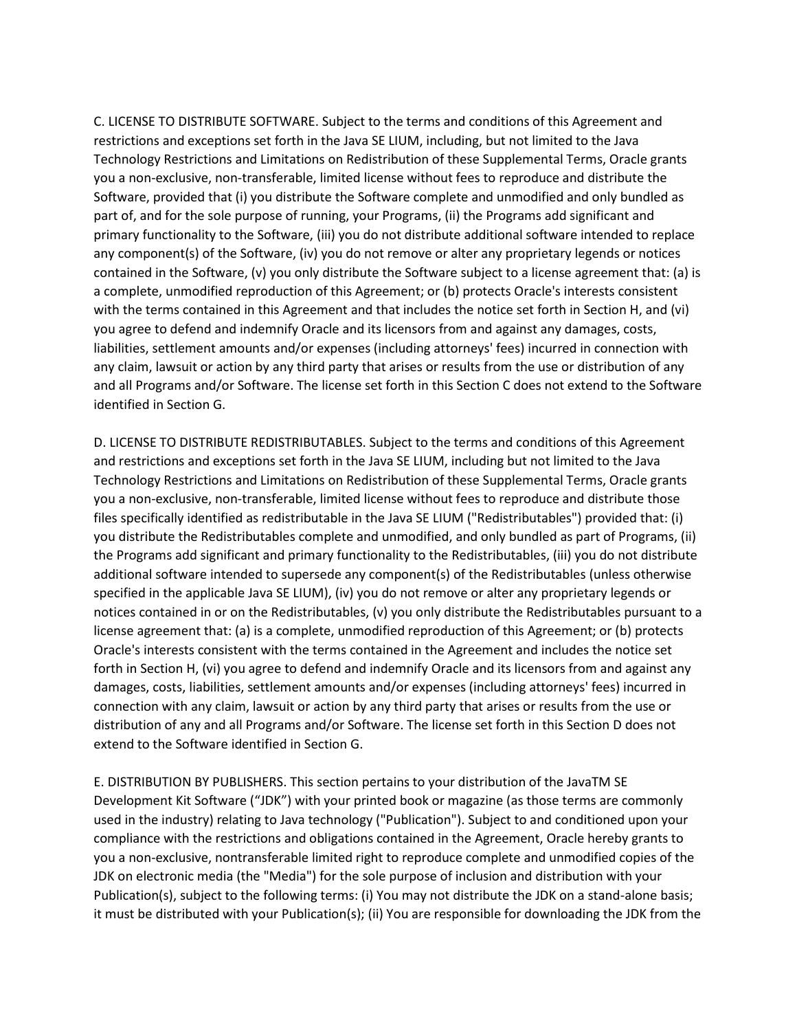C. LICENSE TO DISTRIBUTE SOFTWARE. Subject to the terms and conditions of this Agreement and restrictions and exceptions set forth in the Java SE LIUM, including, but not limited to the Java Technology Restrictions and Limitations on Redistribution of these Supplemental Terms, Oracle grants you a non-exclusive, non-transferable, limited license without fees to reproduce and distribute the Software, provided that (i) you distribute the Software complete and unmodified and only bundled as part of, and for the sole purpose of running, your Programs, (ii) the Programs add significant and primary functionality to the Software, (iii) you do not distribute additional software intended to replace any component(s) of the Software, (iv) you do not remove or alter any proprietary legends or notices contained in the Software, (v) you only distribute the Software subject to a license agreement that: (a) is a complete, unmodified reproduction of this Agreement; or (b) protects Oracle's interests consistent with the terms contained in this Agreement and that includes the notice set forth in Section H, and (vi) you agree to defend and indemnify Oracle and its licensors from and against any damages, costs, liabilities, settlement amounts and/or expenses (including attorneys' fees) incurred in connection with any claim, lawsuit or action by any third party that arises or results from the use or distribution of any and all Programs and/or Software. The license set forth in this Section C does not extend to the Software identified in Section G.

D. LICENSE TO DISTRIBUTE REDISTRIBUTABLES. Subject to the terms and conditions of this Agreement and restrictions and exceptions set forth in the Java SE LIUM, including but not limited to the Java Technology Restrictions and Limitations on Redistribution of these Supplemental Terms, Oracle grants you a non-exclusive, non-transferable, limited license without fees to reproduce and distribute those files specifically identified as redistributable in the Java SE LIUM ("Redistributables") provided that: (i) you distribute the Redistributables complete and unmodified, and only bundled as part of Programs, (ii) the Programs add significant and primary functionality to the Redistributables, (iii) you do not distribute additional software intended to supersede any component(s) of the Redistributables (unless otherwise specified in the applicable Java SE LIUM), (iv) you do not remove or alter any proprietary legends or notices contained in or on the Redistributables, (v) you only distribute the Redistributables pursuant to a license agreement that: (a) is a complete, unmodified reproduction of this Agreement; or (b) protects Oracle's interests consistent with the terms contained in the Agreement and includes the notice set forth in Section H, (vi) you agree to defend and indemnify Oracle and its licensors from and against any damages, costs, liabilities, settlement amounts and/or expenses (including attorneys' fees) incurred in connection with any claim, lawsuit or action by any third party that arises or results from the use or distribution of any and all Programs and/or Software. The license set forth in this Section D does not extend to the Software identified in Section G.

E. DISTRIBUTION BY PUBLISHERS. This section pertains to your distribution of the JavaTM SE Development Kit Software ("JDK") with your printed book or magazine (as those terms are commonly used in the industry) relating to Java technology ("Publication"). Subject to and conditioned upon your compliance with the restrictions and obligations contained in the Agreement, Oracle hereby grants to you a non-exclusive, nontransferable limited right to reproduce complete and unmodified copies of the JDK on electronic media (the "Media") for the sole purpose of inclusion and distribution with your Publication(s), subject to the following terms: (i) You may not distribute the JDK on a stand-alone basis; it must be distributed with your Publication(s); (ii) You are responsible for downloading the JDK from the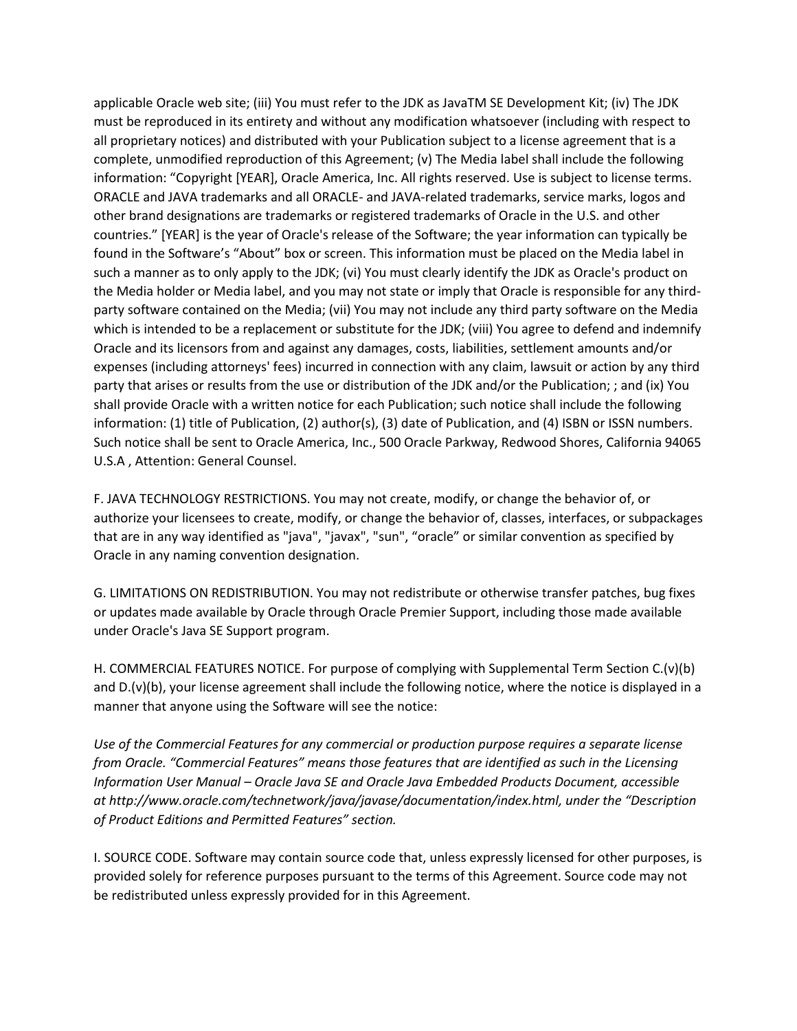applicable Oracle web site; (iii) You must refer to the JDK as JavaTM SE Development Kit; (iv) The JDK must be reproduced in its entirety and without any modification whatsoever (including with respect to all proprietary notices) and distributed with your Publication subject to a license agreement that is a complete, unmodified reproduction of this Agreement; (v) The Media label shall include the following information: "Copyright [YEAR], Oracle America, Inc. All rights reserved. Use is subject to license terms. ORACLE and JAVA trademarks and all ORACLE- and JAVA-related trademarks, service marks, logos and other brand designations are trademarks or registered trademarks of Oracle in the U.S. and other countries." [YEAR] is the year of Oracle's release of the Software; the year information can typically be found in the Software's "About" box or screen. This information must be placed on the Media label in such a manner as to only apply to the JDK; (vi) You must clearly identify the JDK as Oracle's product on the Media holder or Media label, and you may not state or imply that Oracle is responsible for any thirdparty software contained on the Media; (vii) You may not include any third party software on the Media which is intended to be a replacement or substitute for the JDK; (viii) You agree to defend and indemnify Oracle and its licensors from and against any damages, costs, liabilities, settlement amounts and/or expenses (including attorneys' fees) incurred in connection with any claim, lawsuit or action by any third party that arises or results from the use or distribution of the JDK and/or the Publication; ; and (ix) You shall provide Oracle with a written notice for each Publication; such notice shall include the following information: (1) title of Publication, (2) author(s), (3) date of Publication, and (4) ISBN or ISSN numbers. Such notice shall be sent to Oracle America, Inc., 500 Oracle Parkway, Redwood Shores, California 94065 U.S.A , Attention: General Counsel.

F. JAVA TECHNOLOGY RESTRICTIONS. You may not create, modify, or change the behavior of, or authorize your licensees to create, modify, or change the behavior of, classes, interfaces, or subpackages that are in any way identified as "java", "javax", "sun", "oracle" or similar convention as specified by Oracle in any naming convention designation.

G. LIMITATIONS ON REDISTRIBUTION. You may not redistribute or otherwise transfer patches, bug fixes or updates made available by Oracle through Oracle Premier Support, including those made available under Oracle's Java SE Support program.

H. COMMERCIAL FEATURES NOTICE. For purpose of complying with Supplemental Term Section C.(v)(b) and D.(v)(b), your license agreement shall include the following notice, where the notice is displayed in a manner that anyone using the Software will see the notice:

*Use of the Commercial Features for any commercial or production purpose requires a separate license from Oracle. "Commercial Features" means those features that are identified as such in the Licensing Information User Manual – Oracle Java SE and Oracle Java Embedded Products Document, accessible at http://www.oracle.com/technetwork/java/javase/documentation/index.html, under the "Description of Product Editions and Permitted Features" section.*

I. SOURCE CODE. Software may contain source code that, unless expressly licensed for other purposes, is provided solely for reference purposes pursuant to the terms of this Agreement. Source code may not be redistributed unless expressly provided for in this Agreement.